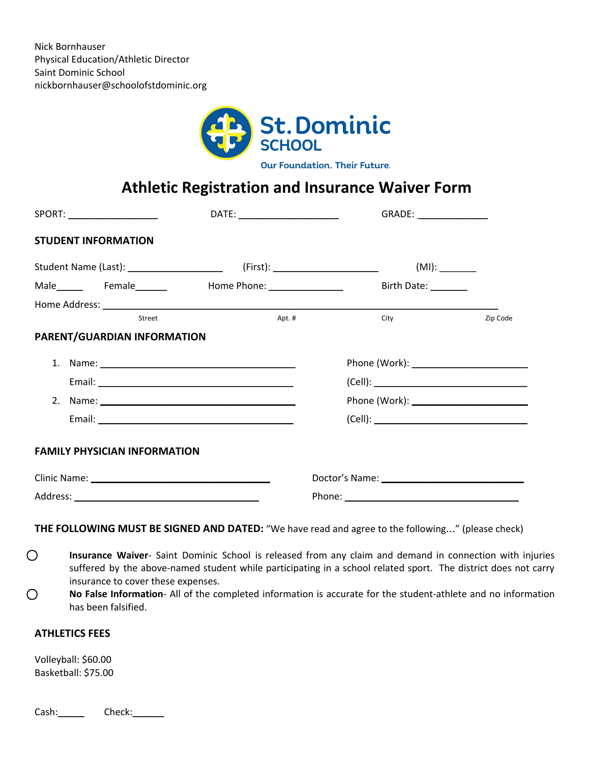

Our Foundation. Their Future.

## **Athletic Registration and Insurance Waiver Form**

|  | SPORT: ____________________         | DATE: _______________________ | GRADE: ________________ |          |  |
|--|-------------------------------------|-------------------------------|-------------------------|----------|--|
|  | <b>STUDENT INFORMATION</b>          |                               |                         |          |  |
|  |                                     |                               |                         |          |  |
|  |                                     | Male Female Home Phone: 1919  | Birth Date: _______     |          |  |
|  |                                     |                               |                         |          |  |
|  | Street                              | Apt.#                         | City                    | Zip Code |  |
|  | PARENT/GUARDIAN INFORMATION         |                               |                         |          |  |
|  |                                     |                               |                         |          |  |
|  |                                     |                               |                         |          |  |
|  |                                     |                               |                         |          |  |
|  |                                     |                               |                         |          |  |
|  | <b>FAMILY PHYSICIAN INFORMATION</b> |                               |                         |          |  |
|  |                                     |                               |                         |          |  |
|  |                                     |                               |                         |          |  |

**THE FOLLOWING MUST BE SIGNED AND DATED:** "We have read and agree to the following…" (please check)

⃝ **Insurance Waiver**- Saint Dominic School is released from any claim and demand in connection with injuries suffered by the above-named student while participating in a school related sport. The district does not carry insurance to cover these expenses.

⃝ **No False Information**- All of the completed information is accurate for the student-athlete and no information has been falsified.

## **ATHLETICS FEES**

Volleyball: \$60.00 Basketball: \$75.00

Cash: Check: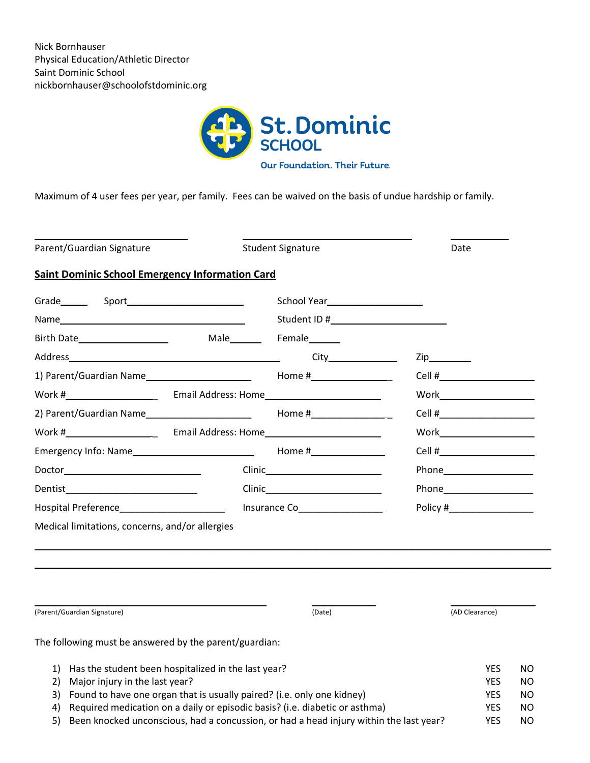

Maximum of 4 user fees per year, per family. Fees can be waived on the basis of undue hardship or family.

\_\_\_\_\_\_\_\_\_\_\_\_\_\_\_\_\_\_\_\_\_\_\_\_\_\_\_\_\_ \_\_\_\_\_\_\_\_\_\_\_\_\_\_\_\_\_\_\_\_\_\_\_\_\_\_\_\_\_\_\_\_ \_\_\_\_\_\_\_\_\_\_\_ Parent/Guardian Signature The Student Signature Date Date **Saint Dominic School Emergency Information Card** Grade\_\_\_\_\_ Sport\_\_\_\_\_\_\_\_\_\_\_\_\_\_\_\_\_\_\_\_\_\_ School Year\_\_\_\_\_\_\_\_\_\_\_\_\_\_\_\_\_\_ Name\_\_\_\_\_\_\_\_\_\_\_\_\_\_\_\_\_\_\_\_\_\_\_\_\_\_\_\_\_\_\_\_\_\_\_ Student ID #\_\_\_\_\_\_\_\_\_\_\_\_\_\_\_\_\_\_\_\_\_\_ Birth Date\_\_\_\_\_\_\_\_\_\_\_\_\_\_\_\_\_ Male\_\_\_\_\_\_ Female\_\_\_\_\_\_ Address\_\_\_\_\_\_\_\_\_\_\_\_\_\_\_\_\_\_\_\_\_\_\_\_\_\_\_\_\_\_\_\_\_\_\_\_\_\_\_\_ City\_\_\_\_\_\_\_\_\_\_\_\_\_ Zip\_\_\_\_\_\_\_\_ 1) Parent/Guardian Name\_\_\_\_\_\_\_\_\_\_\_\_\_\_\_\_\_\_\_\_ Home #\_\_\_\_\_\_\_\_\_\_\_\_\_\_ \_ Cell #\_\_\_\_\_\_\_\_\_\_\_\_\_\_\_\_\_\_ Work #\_\_\_\_\_\_\_\_\_\_\_\_\_\_\_\_ \_ Email Address: Home\_\_\_\_\_\_\_\_\_\_\_\_\_\_\_\_\_\_\_\_\_\_ Work\_\_\_\_\_\_\_\_\_\_\_\_\_\_\_\_\_\_ 2) Parent/Guardian Name\_\_\_\_\_\_\_\_\_\_\_\_\_\_\_\_\_\_\_\_ Home #\_\_\_\_\_\_\_\_\_\_\_\_\_\_ \_ Cell #\_\_\_\_\_\_\_\_\_\_\_\_\_\_\_\_\_\_ Work #\_\_\_\_\_\_\_\_\_\_\_\_\_\_\_\_ \_ Email Address: Home\_\_\_\_\_\_\_\_\_\_\_\_\_\_\_\_\_\_\_\_\_\_ Work\_\_\_\_\_\_\_\_\_\_\_\_\_\_\_\_\_\_ Emergency Info: Name\_\_\_\_\_\_\_\_\_\_\_\_\_\_\_\_\_\_\_\_\_\_\_ Home #\_\_\_\_\_\_\_\_\_\_\_\_\_\_ Cell #\_\_\_\_\_\_\_\_\_\_\_\_\_\_\_\_\_\_ Doctor\_\_\_\_\_\_\_\_\_\_\_\_\_\_\_\_\_\_\_\_\_\_\_\_\_\_ Clinic\_\_\_\_\_\_\_\_\_\_\_\_\_\_\_\_\_\_\_\_\_\_ Phone\_\_\_\_\_\_\_\_\_\_\_\_\_\_\_\_\_ Dentist\_\_\_\_\_\_\_\_\_\_\_\_\_\_\_\_\_\_\_\_\_\_\_\_\_ Clinic\_\_\_\_\_\_\_\_\_\_\_\_\_\_\_\_\_\_\_\_\_\_ Phone\_\_\_\_\_\_\_\_\_\_\_\_\_\_\_\_\_ Hospital Preference\_\_\_\_\_\_\_\_\_\_\_\_\_\_\_\_\_\_\_\_ Insurance Co\_\_\_\_\_\_\_\_\_\_\_\_\_\_\_\_ Policy #\_\_\_\_\_\_\_\_\_\_\_\_\_\_\_\_ Medical limitations, concerns, and/or allergies \_\_\_\_\_\_\_\_\_\_\_\_\_\_\_\_\_\_\_\_\_\_\_\_\_\_\_\_\_\_\_\_\_\_\_\_\_\_\_\_\_\_\_\_\_\_\_\_\_\_\_\_\_\_\_\_\_\_\_\_\_\_\_\_\_\_\_\_\_\_\_\_\_\_\_\_\_\_\_\_\_\_\_\_\_\_\_\_\_\_\_\_\_\_\_\_\_\_ \_\_\_\_\_\_\_\_\_\_\_\_\_\_\_\_\_\_\_\_\_\_\_\_\_\_\_\_\_\_\_\_\_\_\_\_\_\_\_\_\_\_\_\_\_\_\_\_\_\_\_\_\_\_\_\_\_\_\_\_\_\_\_\_\_\_\_\_\_\_\_\_\_\_\_\_\_\_\_\_\_\_\_\_\_\_\_\_\_\_\_\_\_\_\_\_\_\_

\_\_\_\_\_\_\_\_\_\_\_\_\_\_\_\_\_\_\_\_\_\_\_\_\_\_\_\_\_\_\_\_\_\_\_\_\_\_\_\_\_\_\_\_ \_\_\_\_\_\_\_\_\_\_\_\_ \_\_\_\_\_\_\_\_\_\_\_\_\_\_\_\_ (Parent/Guardian Signature) (Date) (AD Clearance) The following must be answered by the parent/guardian: 1) Has the student been hospitalized in the last year? The student of the student of the NO 2) Major injury in the last year? The second second second second second second second second second second second second second second second second second second second second second second second second second second se 3) Found to have one organ that is usually paired? (i.e. only one kidney) YES NO 4) Required medication on a daily or episodic basis? (i.e. diabetic or asthma) YES NO 5) Been knocked unconscious, had a concussion, or had a head injury within the last year? YES NO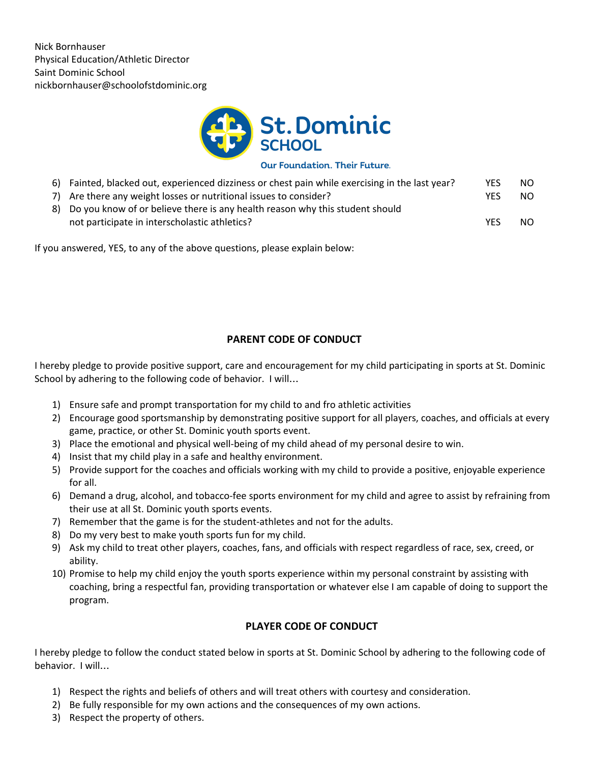

**Our Foundation. Their Future.** 

| 6) Fainted, blacked out, experienced dizziness or chest pain while exercising in the last year? | YES.       | NO. |
|-------------------------------------------------------------------------------------------------|------------|-----|
| 7) Are there any weight losses or nutritional issues to consider?                               | YFS        | NO. |
| 8) Do you know of or believe there is any health reason why this student should                 |            |     |
| not participate in interscholastic athletics?                                                   | <b>YFS</b> | NO. |

If you answered, YES, to any of the above questions, please explain below:

## **PARENT CODE OF CONDUCT**

I hereby pledge to provide positive support, care and encouragement for my child participating in sports at St. Dominic School by adhering to the following code of behavior. I will…

- 1) Ensure safe and prompt transportation for my child to and fro athletic activities
- 2) Encourage good sportsmanship by demonstrating positive support for all players, coaches, and officials at every game, practice, or other St. Dominic youth sports event.
- 3) Place the emotional and physical well-being of my child ahead of my personal desire to win.
- 4) Insist that my child play in a safe and healthy environment.
- 5) Provide support for the coaches and officials working with my child to provide a positive, enjoyable experience for all.
- 6) Demand a drug, alcohol, and tobacco-fee sports environment for my child and agree to assist by refraining from their use at all St. Dominic youth sports events.
- 7) Remember that the game is for the student-athletes and not for the adults.
- 8) Do my very best to make youth sports fun for my child.
- 9) Ask my child to treat other players, coaches, fans, and officials with respect regardless of race, sex, creed, or ability.
- 10) Promise to help my child enjoy the youth sports experience within my personal constraint by assisting with coaching, bring a respectful fan, providing transportation or whatever else I am capable of doing to support the program.

## **PLAYER CODE OF CONDUCT**

I hereby pledge to follow the conduct stated below in sports at St. Dominic School by adhering to the following code of behavior. I will…

- 1) Respect the rights and beliefs of others and will treat others with courtesy and consideration.
- 2) Be fully responsible for my own actions and the consequences of my own actions.
- 3) Respect the property of others.